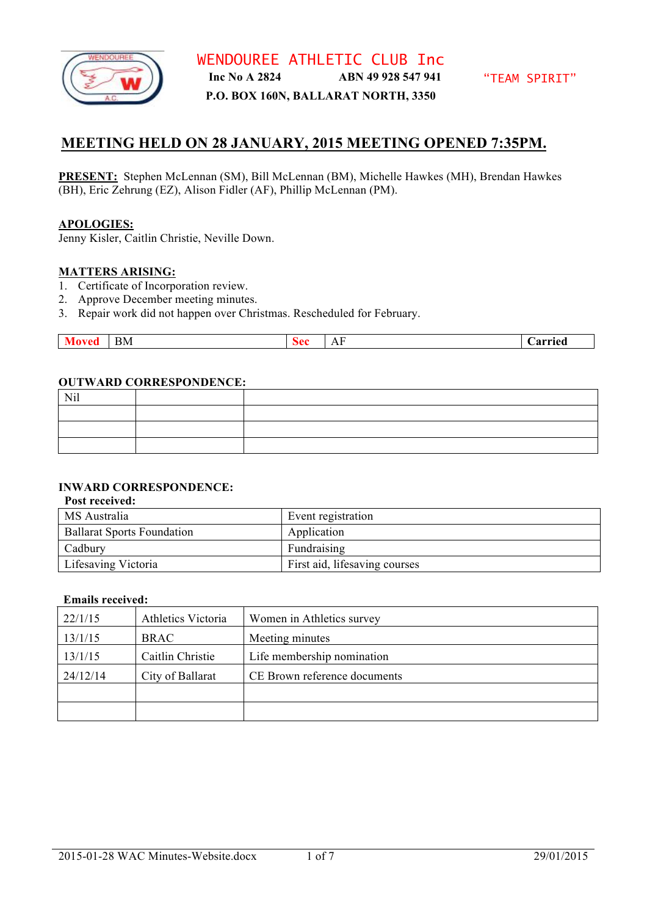

**P.O. BOX 160N, BALLARAT NORTH, 3350**

## **MEETING HELD ON 28 JANUARY, 2015 MEETING OPENED 7:35PM.**

**PRESENT:** Stephen McLennan (SM), Bill McLennan (BM), Michelle Hawkes (MH), Brendan Hawkes (BH), Eric Zehrung (EZ), Alison Fidler (AF), Phillip McLennan (PM).

#### **APOLOGIES:**

Jenny Kisler, Caitlin Christie, Neville Down.

#### **MATTERS ARISING:**

- 1. Certificate of Incorporation review.
- 2. Approve December meeting minutes.
- 3. Repair work did not happen over Christmas. Rescheduled for February.

|  |  | $\sim$ $\sim$<br>3 M<br>-- | . n | $\mathbf{v}$<br>. | `arried |
|--|--|----------------------------|-----|-------------------|---------|
|--|--|----------------------------|-----|-------------------|---------|

#### **OUTWARD CORRESPONDENCE:**

| Nil |  |
|-----|--|
|     |  |
|     |  |
|     |  |

## **INWARD CORRESPONDENCE:**

#### **Post received:**

| <b>MS</b> Australia               | Event registration            |
|-----------------------------------|-------------------------------|
| <b>Ballarat Sports Foundation</b> | Application                   |
| Cadbury                           | Fundraising                   |
| Lifesaving Victoria               | First aid, lifesaving courses |

#### **Emails received:**

| 22/1/15  | Athletics Victoria | Women in Athletics survey    |
|----------|--------------------|------------------------------|
| 13/1/15  | <b>BRAC</b>        | Meeting minutes              |
| 13/1/15  | Caitlin Christie   | Life membership nomination   |
| 24/12/14 | City of Ballarat   | CE Brown reference documents |
|          |                    |                              |
|          |                    |                              |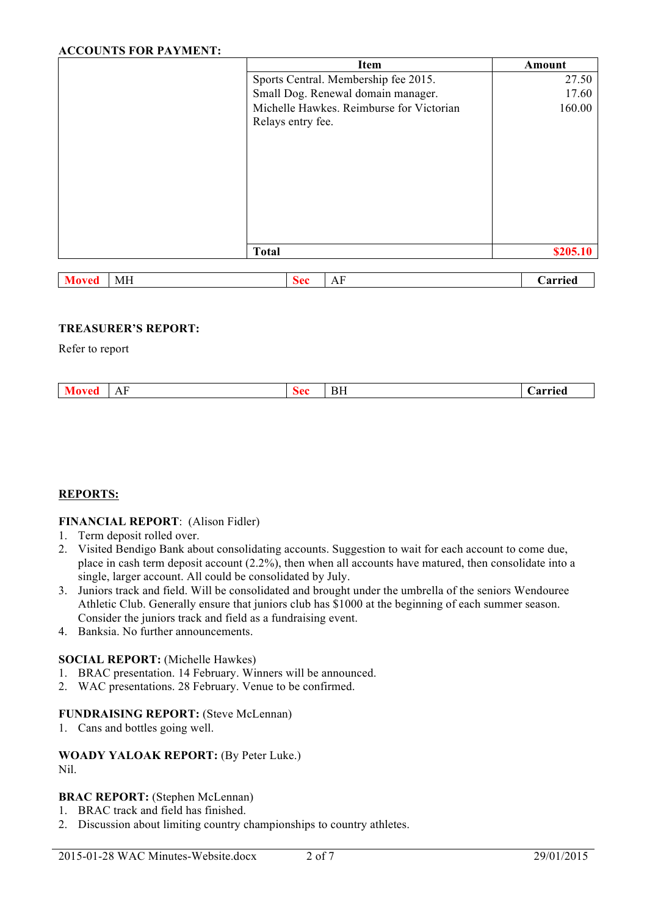## **ACCOUNTS FOR PAYMENT:**

| Item                                     | Amount   |
|------------------------------------------|----------|
| Sports Central. Membership fee 2015.     | 27.50    |
| Small Dog. Renewal domain manager.       | 17.60    |
| Michelle Hawkes. Reimburse for Victorian | 160.00   |
| Relays entry fee.                        |          |
|                                          |          |
|                                          |          |
|                                          |          |
|                                          |          |
|                                          |          |
|                                          |          |
|                                          |          |
|                                          |          |
| <b>Total</b>                             | \$205.10 |

| -cu | $-$<br>МH | $\mathbf{a}$ | . TT |  |
|-----|-----------|--------------|------|--|
|     |           |              |      |  |

## **TREASURER'S REPORT:**

Refer to report

| BF<br>`arried<br>$\mathbf{L}$ |
|-------------------------------|
|-------------------------------|

## **REPORTS:**

## **FINANCIAL REPORT**: (Alison Fidler)

- 1. Term deposit rolled over.
- 2. Visited Bendigo Bank about consolidating accounts. Suggestion to wait for each account to come due, place in cash term deposit account (2.2%), then when all accounts have matured, then consolidate into a single, larger account. All could be consolidated by July.
- 3. Juniors track and field. Will be consolidated and brought under the umbrella of the seniors Wendouree Athletic Club. Generally ensure that juniors club has \$1000 at the beginning of each summer season. Consider the juniors track and field as a fundraising event.
- 4. Banksia. No further announcements.

#### **SOCIAL REPORT:** (Michelle Hawkes)

- 1. BRAC presentation. 14 February. Winners will be announced.
- 2. WAC presentations. 28 February. Venue to be confirmed.

## **FUNDRAISING REPORT:** (Steve McLennan)

1. Cans and bottles going well.

## **WOADY YALOAK REPORT:** (By Peter Luke.) Nil.

## **BRAC REPORT:** (Stephen McLennan)

- 1. BRAC track and field has finished.
- 2. Discussion about limiting country championships to country athletes.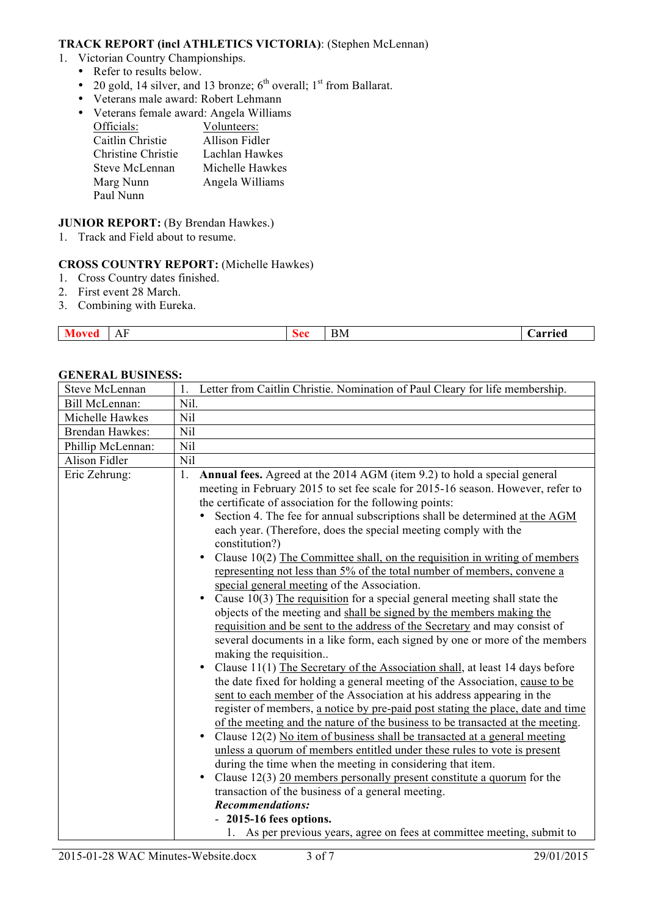## **TRACK REPORT (incl ATHLETICS VICTORIA)**: (Stephen McLennan)

- 1. Victorian Country Championships.
	- Refer to results below.
	- 20 gold, 14 silver, and 13 bronze;  $6<sup>th</sup>$  overall;  $1<sup>st</sup>$  from Ballarat.
	- Veterans male award: Robert Lehmann
	- Veterans female award: Angela Williams

| Officials:         | Volunteers:     |
|--------------------|-----------------|
| Caitlin Christie   | Allison Fidler  |
| Christine Christie | Lachlan Hawkes  |
| Steve McLennan     | Michelle Hawkes |
| Marg Nunn          | Angela Williams |
| Paul Nunn          |                 |
|                    |                 |

## **JUNIOR REPORT:** (By Brendan Hawkes.)

1. Track and Field about to resume.

## **CROSS COUNTRY REPORT:** (Michelle Hawkes)

- 1. Cross Country dates finished.
- 2. First event 28 March.
- 3. Combining with Eureka.

| .<br>$-$<br>_____ | $\mathbf{v}$<br>-<br>$\overline{1}$ | ,,<br>$\tilde{\phantom{a}}$ | $\sim$<br>BМ | ırrıed<br>________ |
|-------------------|-------------------------------------|-----------------------------|--------------|--------------------|

## Steve McLennan 1. Letter from Caitlin Christie. Nomination of Paul Cleary for life membership. Bill McLennan: Nil. Michelle Hawkes | Nil Brendan Hawkes: Nil Phillip McLennan: Nil Alison Fidler Nil Eric Zehrung: 1. **Annual fees.** Agreed at the 2014 AGM (item 9.2) to hold a special general meeting in February 2015 to set fee scale for 2015-16 season. However, refer to the certificate of association for the following points: • Section 4. The fee for annual subscriptions shall be determined at the AGM each year. (Therefore, does the special meeting comply with the constitution?) • Clause 10(2) The Committee shall, on the requisition in writing of members representing not less than 5% of the total number of members, convene a special general meeting of the Association. • Cause 10(3) The requisition for a special general meeting shall state the objects of the meeting and shall be signed by the members making the requisition and be sent to the address of the Secretary and may consist of several documents in a like form, each signed by one or more of the members making the requisition. • Clause 11(1) The Secretary of the Association shall, at least 14 days before the date fixed for holding a general meeting of the Association, cause to be sent to each member of the Association at his address appearing in the register of members, a notice by pre-paid post stating the place, date and time of the meeting and the nature of the business to be transacted at the meeting. • Clause 12(2) No item of business shall be transacted at a general meeting unless a quorum of members entitled under these rules to vote is present during the time when the meeting in considering that item. • Clause 12(3) 20 members personally present constitute a quorum for the transaction of the business of a general meeting. *Recommendations:*  - **2015-16 fees options.**

## **GENERAL BUSINESS:**

1. As per previous years, agree on fees at committee meeting, submit to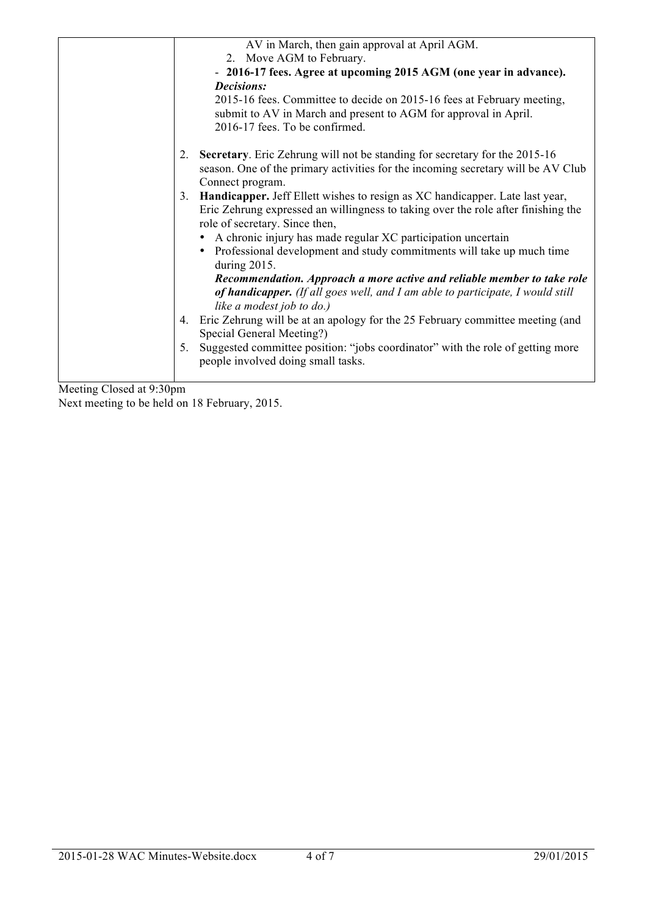|    | AV in March, then gain approval at April AGM.                                                                                                                                                          |
|----|--------------------------------------------------------------------------------------------------------------------------------------------------------------------------------------------------------|
|    | 2. Move AGM to February.                                                                                                                                                                               |
|    | - 2016-17 fees. Agree at upcoming 2015 AGM (one year in advance).                                                                                                                                      |
|    | <b>Decisions:</b>                                                                                                                                                                                      |
|    | 2015-16 fees. Committee to decide on 2015-16 fees at February meeting,<br>submit to AV in March and present to AGM for approval in April.<br>2016-17 fees. To be confirmed.                            |
| 2. | Secretary. Eric Zehrung will not be standing for secretary for the 2015-16<br>season. One of the primary activities for the incoming secretary will be AV Club<br>Connect program.                     |
|    | 3. Handicapper. Jeff Ellett wishes to resign as XC handicapper. Late last year,<br>Eric Zehrung expressed an willingness to taking over the role after finishing the<br>role of secretary. Since then, |
|    | • A chronic injury has made regular XC participation uncertain                                                                                                                                         |
|    | Professional development and study commitments will take up much time<br>during 2015.                                                                                                                  |
|    | Recommendation. Approach a more active and reliable member to take role<br>of handicapper. (If all goes well, and I am able to participate, I would still<br>like a modest job to do.)                 |
| 4. | Eric Zehrung will be at an apology for the 25 February committee meeting (and<br>Special General Meeting?)                                                                                             |
| 5. | Suggested committee position: "jobs coordinator" with the role of getting more<br>people involved doing small tasks.                                                                                   |
|    |                                                                                                                                                                                                        |

Meeting Closed at 9:30pm Next meeting to be held on 18 February, 2015.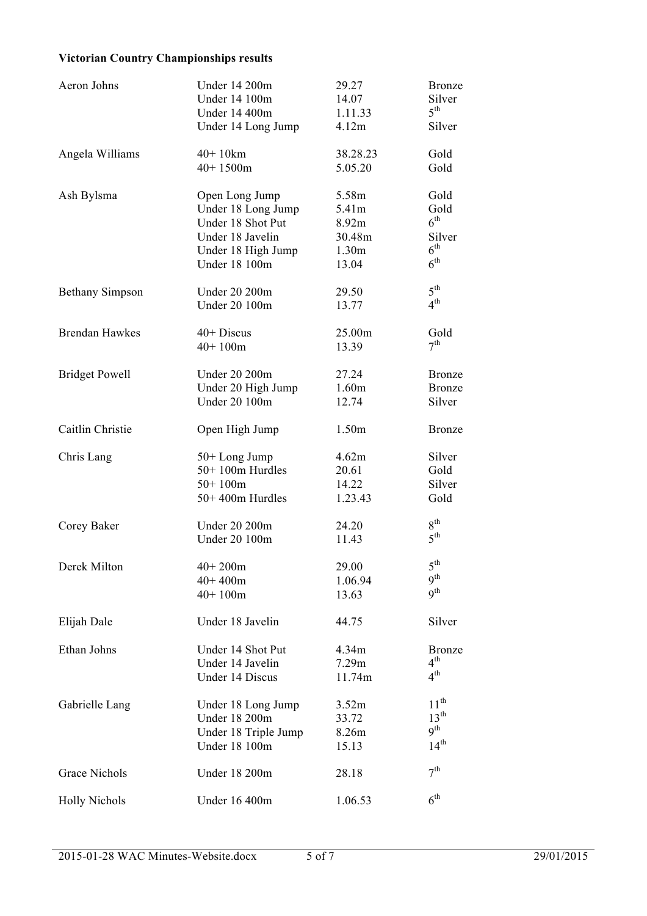# **Victorian Country Championships results**

| Aeron Johns            | <b>Under 14 200m</b> | 29.27             | <b>Bronze</b>   |
|------------------------|----------------------|-------------------|-----------------|
|                        | Under 14 100m        | 14.07             | Silver          |
|                        | Under 14 400m        | 1.11.33           | 5 <sup>th</sup> |
|                        | Under 14 Long Jump   | 4.12m             | Silver          |
| Angela Williams        | $40+10km$            | 38.28.23          | Gold            |
|                        | $40+1500m$           | 5.05.20           | Gold            |
| Ash Bylsma             | Open Long Jump       | 5.58m             | Gold            |
|                        | Under 18 Long Jump   | 5.41m             | Gold            |
|                        | Under 18 Shot Put    | 8.92m             | $6^{\text{th}}$ |
|                        | Under 18 Javelin     | 30.48m            | Silver          |
|                        | Under 18 High Jump   | 1.30 <sub>m</sub> | $6^{\text{th}}$ |
|                        | <b>Under 18 100m</b> | 13.04             | $6^{\text{th}}$ |
| <b>Bethany Simpson</b> | <b>Under 20 200m</b> | 29.50             | $5^{\text{th}}$ |
|                        | <b>Under 20 100m</b> | 13.77             | $4^{\text{th}}$ |
| <b>Brendan Hawkes</b>  | $40+$ Discus         | 25.00m            | Gold            |
|                        | $40+100m$            | 13.39             | 7 <sup>th</sup> |
| <b>Bridget Powell</b>  | <b>Under 20 200m</b> | 27.24             | <b>Bronze</b>   |
|                        | Under 20 High Jump   | 1.60m             | <b>Bronze</b>   |
|                        | <b>Under 20 100m</b> | 12.74             | Silver          |
| Caitlin Christie       | Open High Jump       | 1.50m             | <b>Bronze</b>   |
| Chris Lang             | 50+Long Jump         | 4.62m             | Silver          |
|                        | 50+100m Hurdles      | 20.61             | Gold            |
|                        | $50+100m$            | 14.22             | Silver          |
|                        | 50+400m Hurdles      | 1.23.43           | Gold            |
| Corey Baker            | <b>Under 20 200m</b> | 24.20             | $8^{\text{th}}$ |
|                        | <b>Under 20 100m</b> | 11.43             | 5 <sup>th</sup> |
| Derek Milton           | $40+200m$            | 29.00             | $5^{\text{th}}$ |
|                        | $40+400m$            | 1.06.94           | 9 <sup>th</sup> |
|                        | $40+100m$            | 13.63             | Q <sup>th</sup> |
| Elijah Dale            | Under 18 Javelin     | 44.75             | Silver          |
| Ethan Johns            | Under 14 Shot Put    | 4.34m             | <b>Bronze</b>   |
|                        | Under 14 Javelin     | 7.29m             | $4^{\text{th}}$ |
|                        | Under 14 Discus      | 11.74m            | $4^{\text{th}}$ |
| Gabrielle Lang         | Under 18 Long Jump   | 3.52m             | $11^{th}$       |
|                        | <b>Under 18 200m</b> | 33.72             | $13^{th}$       |
|                        | Under 18 Triple Jump | 8.26m             | $9^{th}$        |
|                        | <b>Under 18 100m</b> | 15.13             | $14^{th}$       |
| Grace Nichols          | <b>Under 18 200m</b> | 28.18             | 7 <sup>th</sup> |
| <b>Holly Nichols</b>   | <b>Under 16 400m</b> | 1.06.53           | 6 <sup>th</sup> |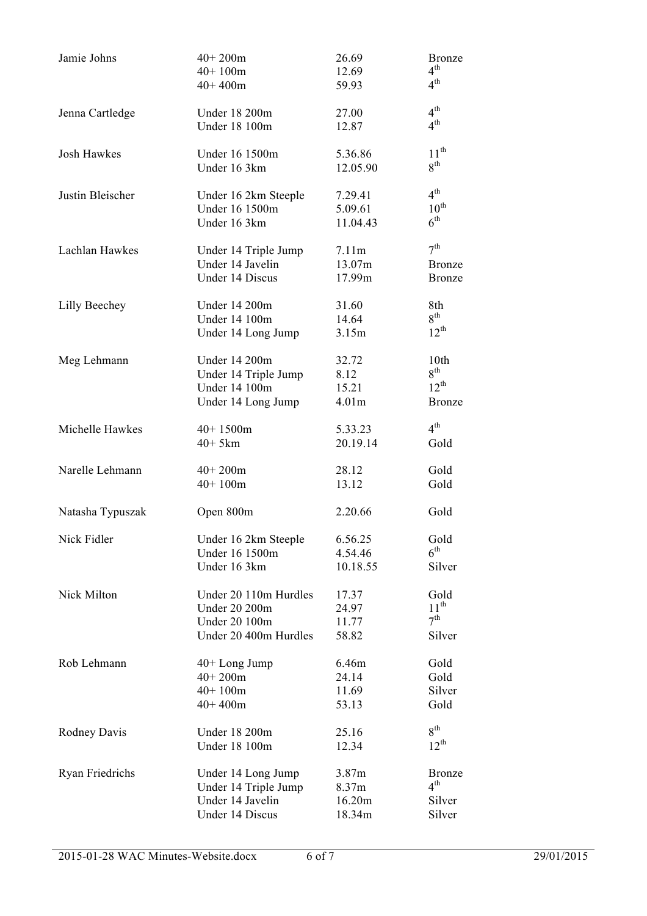| Jamie Johns        | $40+200m$             | 26.69             | <b>Bronze</b>    |
|--------------------|-----------------------|-------------------|------------------|
|                    | $40+100m$             | 12.69             | $4^{\text{th}}$  |
|                    | $40+400m$             | 59.93             | $4^{\text{th}}$  |
| Jenna Cartledge    | <b>Under 18 200m</b>  | 27.00             | $4^{\text{th}}$  |
|                    | Under 18 100m         | 12.87             | 4 <sup>th</sup>  |
| <b>Josh Hawkes</b> | Under 16 1500m        | 5.36.86           | $11^{th}$        |
|                    | Under 16 3km          | 12.05.90          | $8^{\text{th}}$  |
| Justin Bleischer   | Under 16 2km Steeple  | 7.29.41           | $4^{\text{th}}$  |
|                    | Under 16 1500m        | 5.09.61           | $10^{\text{th}}$ |
|                    | Under 16 3km          | 11.04.43          | $6^{\text{th}}$  |
| Lachlan Hawkes     | Under 14 Triple Jump  | 7.11m             | $7^{\text{th}}$  |
|                    | Under 14 Javelin      | 13.07m            | <b>Bronze</b>    |
|                    | Under 14 Discus       | 17.99m            | <b>Bronze</b>    |
| Lilly Beechey      | <b>Under 14 200m</b>  | 31.60             | 8th              |
|                    | Under 14 100m         | 14.64             | $8^{\rm th}$     |
|                    | Under 14 Long Jump    | 3.15m             | $12^{th}$        |
| Meg Lehmann        | <b>Under 14 200m</b>  | 32.72             | 10th             |
|                    | Under 14 Triple Jump  | 8.12              | $8^{\text{th}}$  |
|                    | Under 14 100m         | 15.21             | $12^{th}$        |
|                    | Under 14 Long Jump    | 4.01 <sub>m</sub> | <b>Bronze</b>    |
| Michelle Hawkes    | $40+1500m$            | 5.33.23           | $4^{\text{th}}$  |
|                    | $40+5km$              | 20.19.14          | Gold             |
| Narelle Lehmann    | $40+200m$             | 28.12             | Gold             |
|                    | $40+100m$             | 13.12             | Gold             |
| Natasha Typuszak   | Open 800m             | 2.20.66           | Gold             |
| Nick Fidler        | Under 16 2km Steeple  | 6.56.25           | Gold             |
|                    | Under 16 1500m        | 4.54.46           | $6^{\text{th}}$  |
|                    | Under 16 3km          | 10.18.55          | Silver           |
| Nick Milton        | Under 20 110m Hurdles | 17.37             | Gold             |
|                    | <b>Under 20 200m</b>  | 24.97             | $11^{\text{th}}$ |
|                    | <b>Under 20 100m</b>  | 11.77             | $7^{\text{th}}$  |
|                    | Under 20 400m Hurdles | 58.82             | Silver           |
| Rob Lehmann        | $40+$ Long Jump       | 6.46m             | Gold             |
|                    | $40+200m$             | 24.14             | Gold             |
|                    | $40+100m$             | 11.69             | Silver           |
|                    | $40+400m$             | 53.13             | Gold             |
| Rodney Davis       | <b>Under 18 200m</b>  | 25.16             | $8^{\text{th}}$  |
|                    | <b>Under 18 100m</b>  | 12.34             | $12^{th}$        |
| Ryan Friedrichs    | Under 14 Long Jump    | 3.87m             | <b>Bronze</b>    |
|                    | Under 14 Triple Jump  | 8.37m             | $4^{\text{th}}$  |
|                    | Under 14 Javelin      | 16.20m            | Silver           |
|                    | Under 14 Discus       | 18.34m            | Silver           |